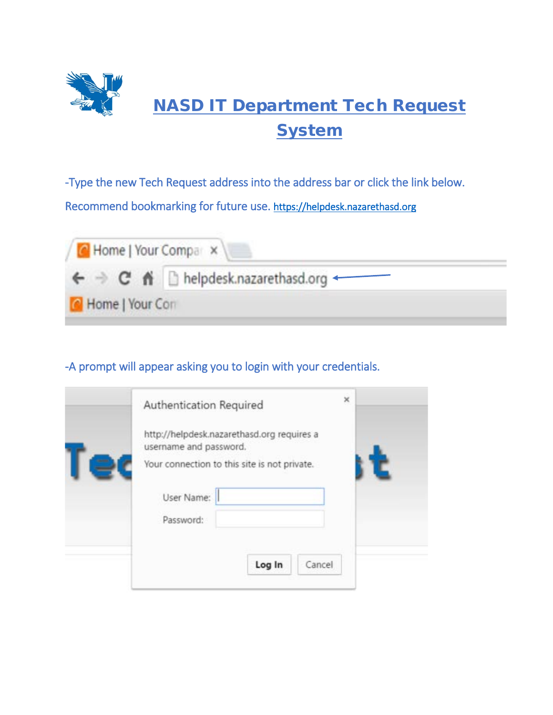

-Type the new Tech Request address into the address bar or click the link below. Recommend bookmarking for future use. [https://helpdesk.nazarethasd.org](https://helpdesk.nazarethasd.org/) 



## -A prompt will appear asking you to login with your credentials.

| ×<br>Authentication Required                                         |
|----------------------------------------------------------------------|
| http://helpdesk.nazarethasd.org requires a<br>username and password. |
| Your connection to this site is not private.                         |
| User Name:                                                           |
| Password:                                                            |
|                                                                      |
| Log In<br>Cancel                                                     |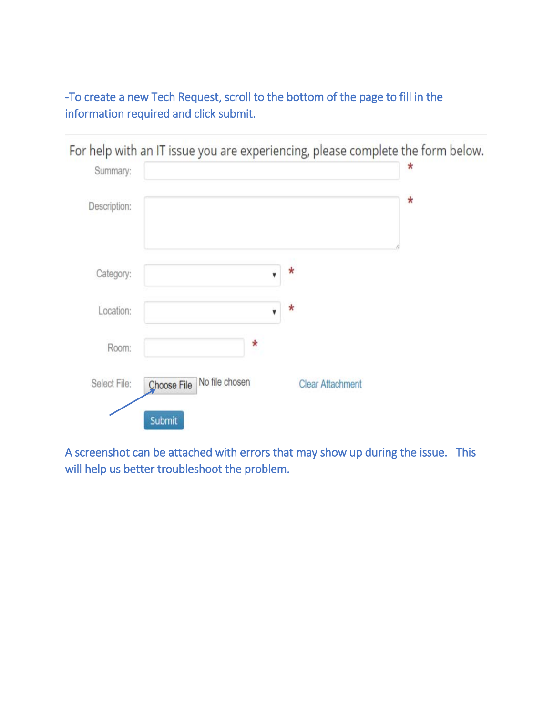-To create a new Tech Request, scroll to the bottom of the page to fill in the information required and click submit.



A screenshot can be attached with errors that may show up during the issue. This will help us better troubleshoot the problem.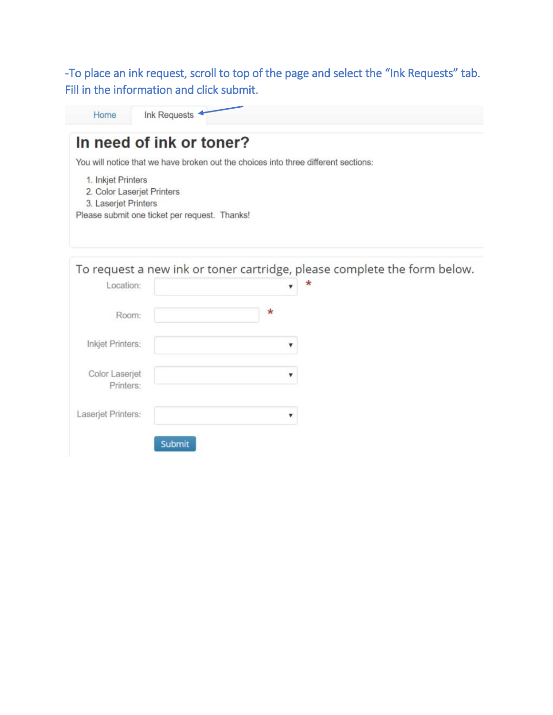-To place an ink request, scroll to top of the page and select the "Ink Requests" tab. Fill in the information and click submit.

Home Ink Requests

| You will notice that we have broken out the choices into three different sections:                                        |         |                                                                          |
|---------------------------------------------------------------------------------------------------------------------------|---------|--------------------------------------------------------------------------|
| 1. Inkjet Printers<br>2. Color Laserjet Printers<br>3. Laserjet Printers<br>Please submit one ticket per request. Thanks! |         |                                                                          |
|                                                                                                                           |         | To request a new ink or toner cartridge, please complete the form below. |
| Location:                                                                                                                 | v       |                                                                          |
|                                                                                                                           |         |                                                                          |
| Room:                                                                                                                     | $\star$ |                                                                          |
| Inkjet Printers:                                                                                                          | ▼       |                                                                          |
| Color Laserjet<br>Printers:                                                                                               | ▼       |                                                                          |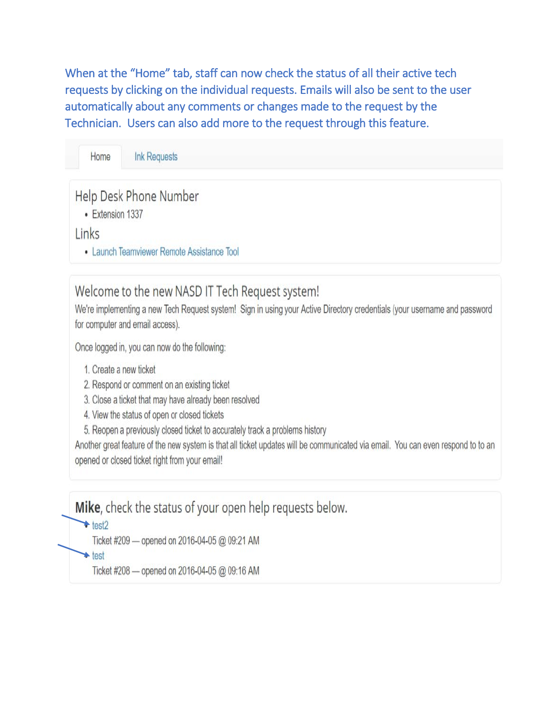When at the "Home" tab, staff can now check the status of all their active tech requests by clicking on the individual requests. Emails will also be sent to the user automatically about any comments or changes made to the request by the Technician. Users can also add more to the request through this feature.

#### Home **Ink Requests**

## Help Desk Phone Number

• Extension 1337

### Links

· Launch Teamviewer Remote Assistance Tool

# Welcome to the new NASD IT Tech Request system!

We're implementing a new Tech Request system! Sign in using your Active Directory credentials (your username and password for computer and email access).

Once logged in, you can now do the following:

- 1. Create a new ticket
- 2. Respond or comment on an existing ticket
- 3. Close a ticket that may have already been resolved
- 4. View the status of open or closed tickets
- 5. Reopen a previously closed ticket to accurately track a problems history

Another great feature of the new system is that all ticket updates will be communicated via email. You can even respond to to an opened or closed ticket right from your email!

Mike, check the status of your open help requests below.

 $\cdot$  test2

Ticket #209 - opened on 2016-04-05 @ 09:21 AM

 $\triangle$  test

Ticket #208 - opened on 2016-04-05 @ 09:16 AM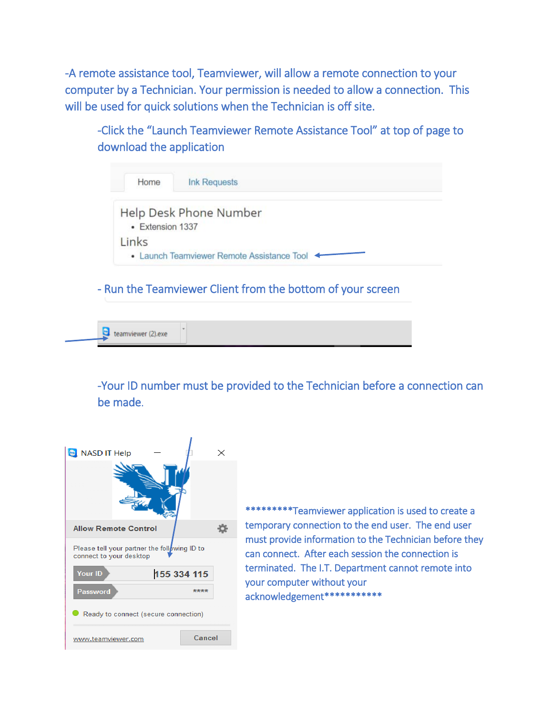-A remote assistance tool, Teamviewer, will allow a remote connection to your computer by a Technician. Your permission is needed to allow a connection. This will be used for quick solutions when the Technician is off site.

-Click the "Launch Teamviewer Remote Assistance Tool" at top of page to download the application

| Home             | <b>Ink Requests</b>                        |
|------------------|--------------------------------------------|
| • Extension 1337 | Help Desk Phone Number                     |
| Links            | • Launch Teamviewer Remote Assistance Tool |

- Run the Teamviewer Client from the bottom of your screen

 $\bullet$  teamviewer (2).exe

-Your ID number must be provided to the Technician before a connection can be made.



\*\*\*\*\*\*\*\*\*Teamviewer application is used to create a temporary connection to the end user. The end user must provide information to the Technician before they can connect. After each session the connection is terminated. The I.T. Department cannot remote into your computer without your acknowledgement\*\*\*\*\*\*\*\*\*\*\*